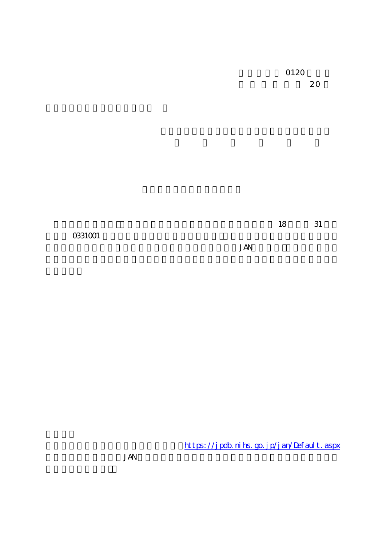**JAN** 

https://jpdb.nihs.go.jp/jan/Default.aspx

**JAN**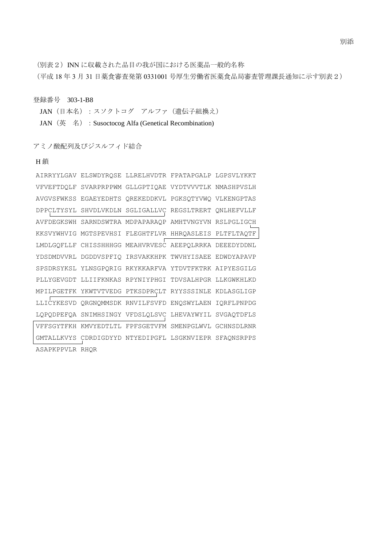(別表2) INN に収載された品目の我が国における医薬品一般的名称

(平成 18 年 3 月 31 日薬食審査発第 0331001 号厚生労働省医薬食品局審査管理課長通知に示す別表2)

登録番号 303-1-B8

JAN (日本名):スソクトコグ アルファ (遺伝子組換え) JAN (英 名) : Susoctocog Alfa (Genetical Recombination)

アミノ酸配列及びジスルフィド結合

```
H 鎖
```

|                 | AIRRYYLGAV ELSWDYRQSE LLRELHVDTR FPATAPGALP LGPSVLYKKT |  |
|-----------------|--------------------------------------------------------|--|
|                 | VFVEFTDOLF SVARPRPPWM GLLGPTIOAE VYDTVVVTLK NMASHPVSLH |  |
|                 | AVGVSFWKSS EGAEYEDHTS OREKEDDKVL PGKSOTYVWO VLKENGPTAS |  |
|                 | DPPCLTYSYL SHVDLVKDLN SGLIGALLVC REGSLTRERT ONLHEFVLLF |  |
|                 | AVFDEGKSWH SARNDSWTRA MDPAPARAQP AMHTVNGYVN RSLPGLIGCH |  |
|                 | KKSVYWHVIG MGTSPEVHSI FLEGHTFLVR HHRQASLEIS PLTFLTAQTF |  |
|                 | LMDLGQFLLF CHISSHHHGG MEAHVRVESC AEEPQLRRKA DEEEDYDDNL |  |
|                 | YDSDMDVVRL DGDDVSPFIQ IRSVAKKHPK TWVHYISAEE EDWDYAPAVP |  |
|                 | SPSDRSYKSL YLNSGPORIG RKYKKARFVA YTDVTFKTRK AIPYESGILG |  |
|                 | PLLYGEVGDT LLIIFKNKAS RPYNIYPHGI TDVSALHPGR LLKGWKHLKD |  |
|                 | MPILPGETFK YKWTVTVEDG PTKSDPRÇLT RYYSSSINLE KDLASGLIGP |  |
|                 | LLICYKESVD QRGNQMMSDK RNVILFSVFD ENQSWYLAEN IQRFLPNPDG |  |
|                 | LQPQDPEFQA SNIMHSINGY VFDSLQLSVC LHEVAYWYIL SVGAQTDFLS |  |
|                 | VFFSGYTFKH KMVYEDTLTL FPFSGETVFM SMENPGLWVL GCHNSDLRNR |  |
|                 | GMTALLKVYS CDRDIGDYYD NTYEDIPGFL LSGKNVIEPR SFAQNSRPPS |  |
| ASAPKPPVLR RHQR |                                                        |  |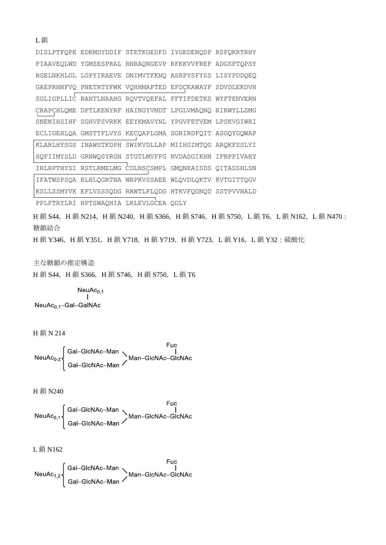|  | DISLPTFOPE EDKMDYDDIF STETKGEDFD IYGEDENODP RSFOKRTRHY |  |
|--|--------------------------------------------------------|--|
|  | FIAAVEQLWD YGMSESPRAL RNRAQNGEVP RFKKVVFREF ADGSFTQPSY |  |
|  | RGELNKHLGL LGPYIRAEVE DNIMVTFKNO ASRPYSFYSS LISYPDDOEO |  |
|  | GAEPRHNFVO PNETRTYFWK VOHHMAPTED EFDCKAWAYF SDVDLEKDVH |  |
|  | SGLIGPLLIC RANTLNAAHG ROVTVOEFAL FFTIFDETKS WYFTENVERN |  |
|  | CRAPCHLOME DPTLKENYRF HAINGYVMDT LPGLVMAONO RIRWYLLSMG |  |
|  | SNENIHSIHF SGHVFSVRKK EEYKMAVYNL YPGVFETVEM LPSKVGIWRI |  |
|  | ECLIGEHLOA GMSTTFLVYS KECOAPLGMA SGRIRDFOIT ASGOYGOWAP |  |
|  | KLARLHYSGS INAWSTKDPH SWIKVDLLAP MIIHGIMTOG AROKFSSLYI |  |
|  | SOFIIMYSLD GRNWOSYRGN STGTLMVFFG NVDASGIKHN IFNPPIVARY |  |
|  | IRLHPTHYSI RSTLRMELMG CDLNSCSMPL GMONKAISDS OITASSHLSN |  |
|  | IFATWSPSOA RLHLOGRTNA WRPRVSSAEE WLOVDLOKTV KVTGITTOGV |  |
|  | KSLLSSMYVK EFLVSSSODG RRWTLFLODG HTKVFOGNOD SSTPVVNALD |  |
|  |                                                        |  |

PPLFTRYLRI HPTSWAQHIA LRLEVLGCEA QDLY

H 鎖 S44, H 鎖 N214, H 鎖 N240, H 鎖 S366, H 鎖 S746, H 鎖 S750, L 鎖 T6, L 鎖 N162, L 鎖 N470 : 糖鎖結合

H鎖 Y346, H鎖 Y351, H鎖 Y718, H鎖 Y719, H鎖 Y723, L鎖 Y16, L鎖 Y32:硫酸化

主な糖鎖の推定構造

H鎖 S44, H鎖 S366, H鎖 S746, H鎖 S750, L鎖 T6

 $\begin{array}{c} \mathsf{NeuAc}_{0,1} \\ \mathsf{I} \end{array}$ NeuAc<sub>0.1</sub>-Gal-GalNAc

H鎖N214

L鎖

Fuc<br>
NeuAc<sub>0-2</sub> Gal-GlcNAc-Man<br>
Gal-GlcNAc-Man / Man-GlcNAc-GlcNAc

H鎖 N240

L鎖 N162

Fuc<br>NeuAc<sub>1,2</sub> Gal-GlcNAc-Man<br>Gal-GlcNAc-Man / Man-GlcNAc-GlcNAc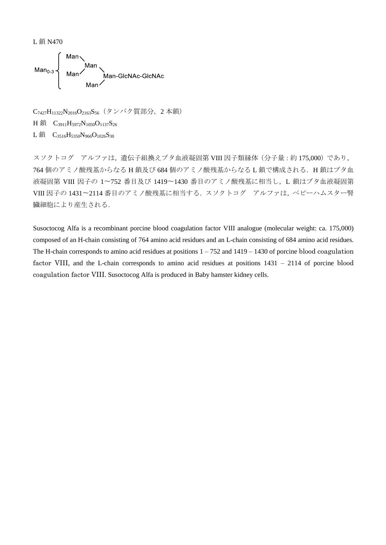L 鎖 N470



C7427H11322N2016O2163S56(タンパク質部分,2 本鎖) H 鎖 C<sub>3911</sub>H<sub>5972</sub>N<sub>1050</sub>O<sub>1137</sub>S<sub>26</sub> L鎖 C<sub>3516</sub>H<sub>5350</sub>N<sub>966</sub>O<sub>1026</sub>S<sub>30</sub>

スソクトコグ アルファは,遺伝子組換えブタ血液凝固第 VIII 因子類縁体(分子量:約 175,000)であり, 764 個のアミノ酸残基からなる H 鎖及び 684 個のアミノ酸残基からなる L 鎖で構成される. H 鎖はブタ血 液凝固第 VIII 因子の 1〜752 番目及び 1419〜1430 番目のアミノ酸残基に相当し,L 鎖はブタ血液凝固第 VIII 因子の 1431〜2114 番目のアミノ酸残基に相当する.スソクトコグ アルファは,ベビーハムスター腎 臓細胞により産生される.

Susoctocog Alfa is a recombinant porcine blood coagulation factor VIII analogue (molecular weight: ca. 175,000) composed of an H-chain consisting of 764 amino acid residues and an L-chain consisting of 684 amino acid residues. The H-chain corresponds to amino acid residues at positions  $1 - 752$  and  $1419 - 1430$  of porcine blood coagulation factor VIII, and the L-chain corresponds to amino acid residues at positions 1431 – 2114 of porcine blood coagulation factor VIII. Susoctocog Alfa is produced in Baby hamster kidney cells.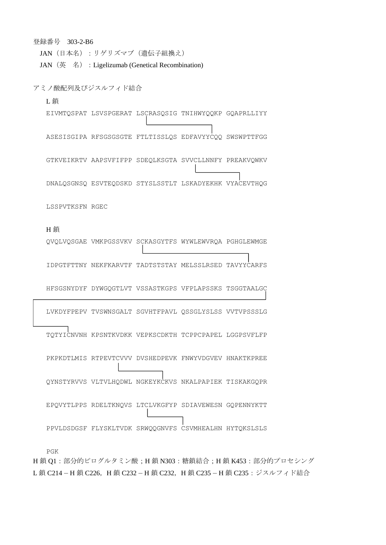PGK H鎖 O1:部分的ピログルタミン酸;H鎖 N303:糖鎖結合;H鎖 K453:部分的プロセシング L鎖 C214-H鎖 C226, H鎖 C232-H鎖 C232, H鎖 C235-H鎖 C235:ジスルフィド結合

DNALQSGNSQ ESVTEQDSKD STYSLSSTLT LSKADYEKHK VYACEVTHQG LSSPVTKSFN RGEC H 鎖 QVQLVQSGAE VMKPGSSVKV SCKASGYTFS WYWLEWVRQA PGHGLEWMGE IDPGTFTTNY NEKFKARVTF TADTSTSTAY MELSSLRSED TAVYYCARFS HFSGSNYDYF DYWGQGTLVT VSSASTKGPS VFPLAPSSKS TSGGTAALGC LVKDYFPEPV TVSWNSGALT SGVHTFPAVL QSSGLYSLSS VVTVPSSSLG TQTYICNVNH KPSNTKVDKK VEPKSCDKTH TCPPCPAPEL LGGPSVFLFP PKPKDTLMIS RTPEVTCVVV DVSHEDPEVK FNWYVDGVEV HNAKTKPREE QYNSTYRVVS VLTVLHQDWL NGKEYKCKVS NKALPAPIEK TISKAKGQPR EPQVYTLPPS RDELTKNQVS LTCLVKGFYP SDIAVEWESN GQPENNYKTT PPVLDSDGSF FLYSKLTVDK SRWQQGNVFS CSVMHEALHN HYTQKSLSLS

EIVMTQSPAT LSVSPGERAT LSCRASQSIG TNIHWYQQKP GQAPRLLIYY

ASESISGIPA RFSGSGSGTE FTLTISSLQS EDFAVYYCQQ SWSWPTTFGG

GTKVEIKRTV AAPSVFIFPP SDEQLKSGTA SVVCLLNNFY PREAKVQWKV

アミノ酸配列及びジスルフィド結合

登録番号 303-2-B6

L 鎖

JAN (英名) : Ligelizumab (Genetical Recombination)

JAN(日本名):リゲリズマブ(遺伝子組換え)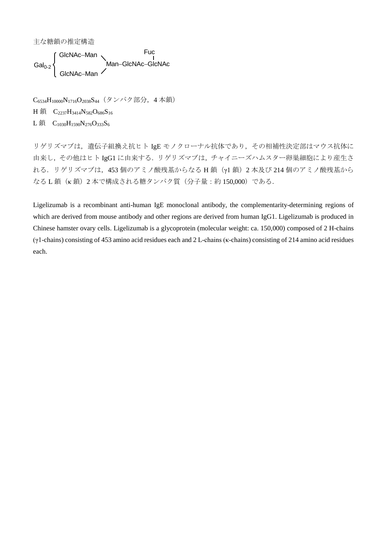主な糖鎖の推定構造

uc<br>/<br>Man–GlcNAc–GlcNAc  $Gal<sub>0-2</sub>$ f GlcNAc-Man Fuc GlcNAc-Man

C<sub>6534</sub>H<sub>10000</sub>N<sub>1716</sub>O<sub>2038</sub>S<sub>44</sub> (タンパク部分, 4本鎖) H 鎖 C<sub>2237</sub>H<sub>3414</sub>N<sub>582</sub>O<sub>686</sub>S<sub>16</sub>

L鎖  $C_{1030}H_{1590}N_{276}O_{333}S_6$ 

リゲリズマブは、遺伝子組換え抗ヒト IgE モノクローナル抗体であり、その相補性決定部はマウス抗体に 由来し,その他はヒト IgG1 に由来する.リゲリズマブは,チャイニーズハムスター卵巣細胞により産生さ れる.リゲリズマブは,453 個のアミノ酸残基からなる H 鎖(γ1 鎖)2 本及び 214 個のアミノ酸残基から なる L 鎖 (k 鎖) 2 本で構成される糖タンパク質(分子量:約 150,000)である.

Ligelizumab is a recombinant anti-human IgE monoclonal antibody, the complementarity-determining regions of which are derived from mouse antibody and other regions are derived from human IgG1. Ligelizumab is produced in Chinese hamster ovary cells. Ligelizumab is a glycoprotein (molecular weight: ca. 150,000) composed of 2 H-chains (γ1-chains) consisting of 453 amino acid residues each and 2 L-chains (κ-chains) consisting of 214 amino acid residues each.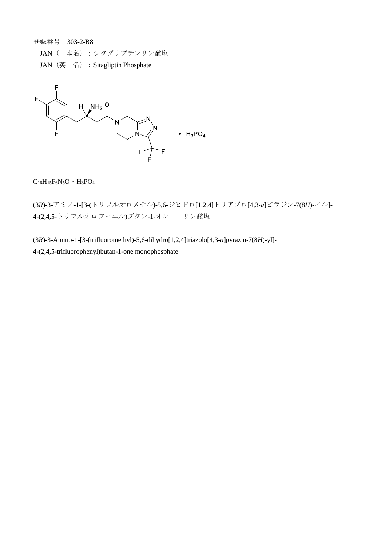登録番号 303-2-B8

- JAN (日本名):シタグリプチンリン酸塩
- JAN(英 名):Sitagliptin Phosphate



 $C_{16}H_{15}F_6N_5O \cdot H_3PO_4$ 

(3*R*)-3-アミノ-1-[3-(トリフルオロメチル)-5,6-ジヒドロ[1,2,4]トリアゾロ[4,3-*a*]ピラジン-7(8*H*)-イル]- 4-(2,4,5-トリフルオロフェニル)ブタン-1-オン 一リン酸塩

(3*R*)-3-Amino-1-[3-(trifluoromethyl)-5,6-dihydro[1,2,4]triazolo[4,3-*a*]pyrazin-7(8*H*)-yl]- 4-(2,4,5-trifluorophenyl)butan-1-one monophosphate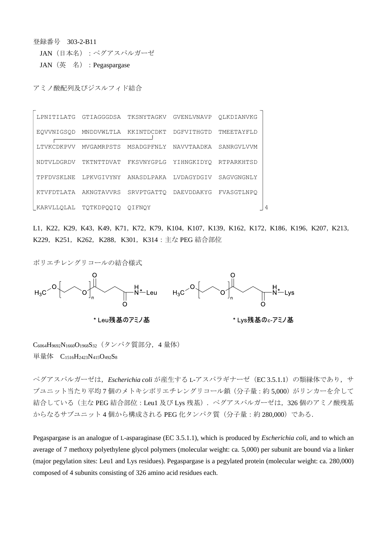登録番号 303-2-B11

 $\overline{a}$ 

JAN(日本名):ペグアスパルガーゼ

JAN(英 名):Pegaspargase

アミノ酸配列及びジスルフィド結合

| LPNITILATG | GTIAGGGDSA | TKSNYTAGKV            | GVENLVNAVP        | OLKDIANVKG |  |
|------------|------------|-----------------------|-------------------|------------|--|
| EOVVNIGSOD |            | MNDDVWLTLA KKINTDCDKT | DGFVITHGTD        | TMEETAYFLD |  |
| LTVKCDKPVV | MVGAMRPSTS | MSADGPFNLY            | <b>NAVVTAADKA</b> | SANRGVLVVM |  |
| NDTVLDGRDV | TKTNTTDVAT | FKSVNYGPLG            | YIHNGKIDYO        | RTPARKHTSD |  |
| TPFDVSKLNE |            | LPKVGIVYNY ANASDLPAKA | LVDAGYDGIV        | SAGVGNGNLY |  |
| KTVFDTLATA | AKNGTAVVRS | SRVPTGATTO            | DAEVDDAKYG        | FVASGTLNPO |  |
| KARVLLQLAL | TOTKDPOOIO | OIFNOY                |                   |            |  |

L1, K22, K29, K43, K49, K71, K72, K79, K104, K107, K139, K162, K172, K186, K196, K207, K213, K229, K251, K262, K288, K301, K314: 主な PEG 結合部位

ポリエチレングリコールの結合様式



C<sub>6064</sub>H<sub>9692</sub>N<sub>1660</sub>O<sub>1968</sub>S<sub>32</sub> (タンパク質部分, 4 量体) 単量体  $C_{1516}H_{2423}N_{415}O_{492}S_8$ 

ペグアスパルガーゼは*, Escherichia coli* が産生する L-アスパラギナーゼ (EC 3.5.1.1) の類縁体であり, サ ブユニット当たり平均7個のメトキシポリエチレングリコール鎖(分子量:約5,000)がリンカーを介して 結合している (主な PEG 結合部位: Leu1 及び Lys 残基). ペグアスパルガーゼは、326 個のアミノ酸残基 からなるサブユニット 4個から構成される PEG 化タンパク質 (分子量:約 280,000) である.

Pegaspargase is an analogue of L-asparaginase (EC 3.5.1.1), which is produced by *Escherichia coli*, and to which an average of 7 methoxy polyethylene glycol polymers (molecular weight: ca. 5,000) per subunit are bound via a linker (major pegylation sites: Leu1 and Lys residues). Pegaspargase is a pegylated protein (molecular weight: ca. 280,000) composed of 4 subunits consisting of 326 amino acid residues each.